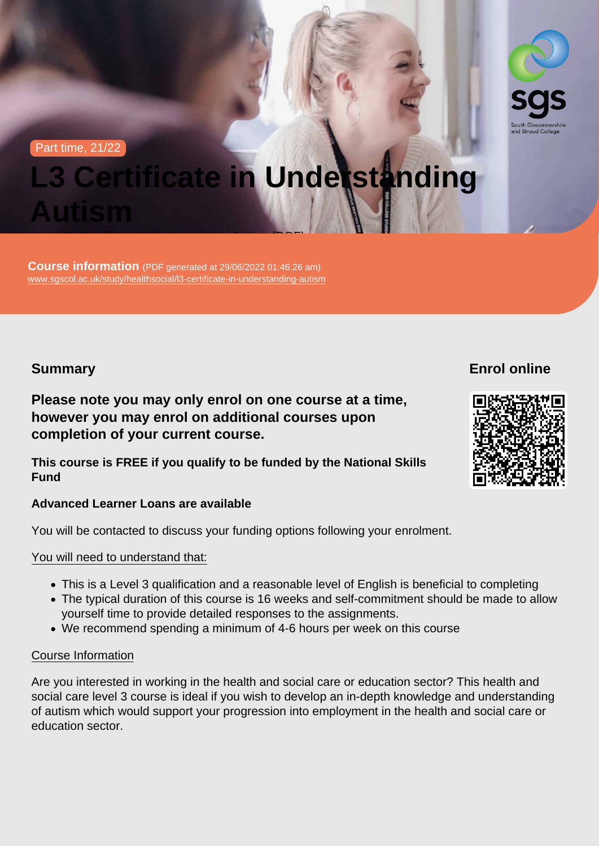#### Part time, 21/22

# L3 Certificate in Understanding Autism

Course information (PDF generated at 29/06/2022 01:46:26 am) [www.sgscol.ac.uk/study/healthsocial/l3-certificate-in-understanding-autism](https://www.sgscol.ac.uk/study/healthsocial/l3-certificate-in-understanding-autism)

Level 3 | Certificate in Understanding Autism (RQF)

### **Summary**

Enrol online

Please note you may only enrol on one course at a time, however you may enrol on additional courses upon completion of your current course.

This course is FREE if you qualify to be funded by the National Skills Fund

Advanced Learner Loans are available

You will be contacted to discuss your funding options following your enrolment.

You will need to understand that:

- This is a Level 3 qualification and a reasonable level of English is beneficial to completing
- The typical duration of this course is 16 weeks and self-commitment should be made to allow yourself time to provide detailed responses to the assignments.
- We recommend spending a minimum of 4-6 hours per week on this course

#### Course Information

Are you interested in working in the health and social care or education sector? This health and social care level 3 course is ideal if you wish to develop an in-depth knowledge and understanding of autism which would support your progression into employment in the health and social care or education sector.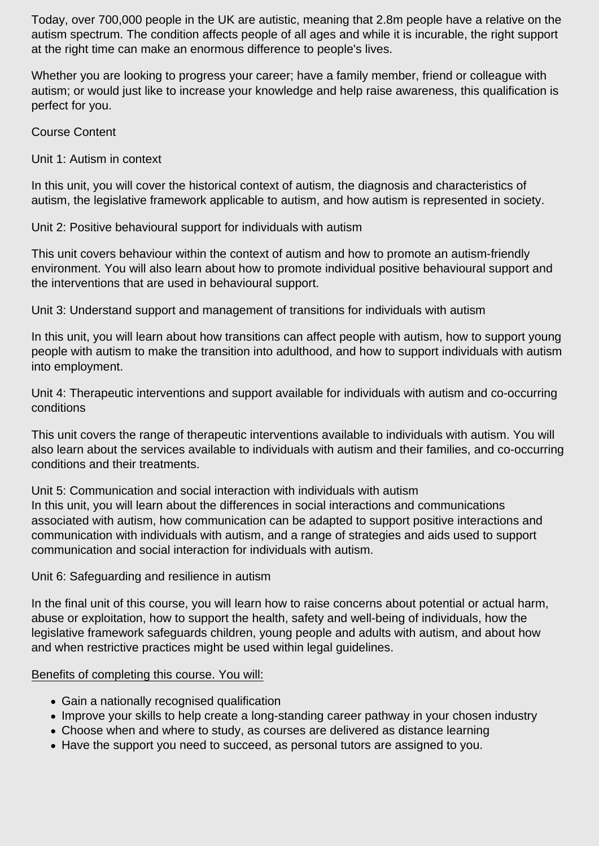Today, over 700,000 people in the UK are autistic, meaning that 2.8m people have a relative on the autism spectrum. The condition affects people of all ages and while it is incurable, the right support at the right time can make an enormous difference to people's lives.

Whether you are looking to progress your career; have a family member, friend or colleague with autism; or would just like to increase your knowledge and help raise awareness, this qualification is perfect for you.

Course Content

Unit 1: Autism in context

In this unit, you will cover the historical context of autism, the diagnosis and characteristics of autism, the legislative framework applicable to autism, and how autism is represented in society.

Unit 2: Positive behavioural support for individuals with autism

This unit covers behaviour within the context of autism and how to promote an autism-friendly environment. You will also learn about how to promote individual positive behavioural support and the interventions that are used in behavioural support.

Unit 3: Understand support and management of transitions for individuals with autism

In this unit, you will learn about how transitions can affect people with autism, how to support young people with autism to make the transition into adulthood, and how to support individuals with autism into employment.

Unit 4: Therapeutic interventions and support available for individuals with autism and co-occurring conditions

This unit covers the range of therapeutic interventions available to individuals with autism. You will also learn about the services available to individuals with autism and their families, and co-occurring conditions and their treatments.

Unit 5: Communication and social interaction with individuals with autism In this unit, you will learn about the differences in social interactions and communications associated with autism, how communication can be adapted to support positive interactions and communication with individuals with autism, and a range of strategies and aids used to support communication and social interaction for individuals with autism.

Unit 6: Safeguarding and resilience in autism

In the final unit of this course, you will learn how to raise concerns about potential or actual harm, abuse or exploitation, how to support the health, safety and well-being of individuals, how the legislative framework safeguards children, young people and adults with autism, and about how and when restrictive practices might be used within legal guidelines.

#### Benefits of completing this course. You will:

- Gain a nationally recognised qualification
- Improve your skills to help create a long-standing career pathway in your chosen industry
- Choose when and where to study, as courses are delivered as distance learning
- Have the support you need to succeed, as personal tutors are assigned to you.